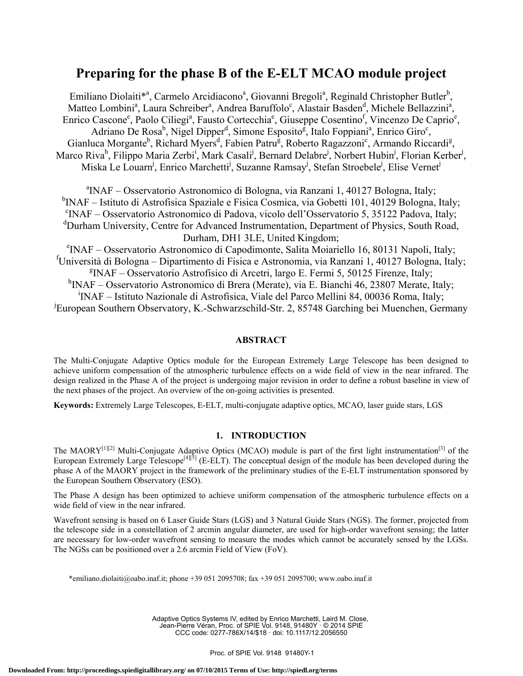# **Preparing for the phase B of the E-ELT MCAO module project**

Emiliano Diolaiti<sup>\*a</sup>, Carmelo Arcidiacono<sup>a</sup>, Giovanni Bregoli<sup>a</sup>, Reginald Christopher Butler<sup>b</sup>, Matteo Lombini<sup>a</sup>, Laura Schreiber<sup>a</sup>, Andrea Baruffolo<sup>c</sup>, Alastair Basden<sup>d</sup>, Michele Bellazzini<sup>a</sup>, Enrico Cascone<sup>e</sup>, Paolo Ciliegi<sup>a</sup>, Fausto Cortecchia<sup>e</sup>, Giuseppe Cosentino<sup>f</sup>, Vincenzo De Caprio<sup>e</sup>, Adriano De Rosa<sup>b</sup>, Nigel Dipper<sup>d</sup>, Simone Esposito<sup>g</sup>, Italo Foppiani<sup>a</sup>, Enrico Giro<sup>c</sup>, Gianluca Morgante<sup>b</sup>, Richard Myers<sup>d</sup>, Fabien Patru<sup>g</sup>, Roberto Ragazzoni<sup>c</sup>, Armando Riccardi<sup>g</sup>, Marco Riva<sup>h</sup>, Filippo Maria Zerbi<sup>i</sup>, Mark Casali<sup>j</sup>, Bernard Delabre<sup>j</sup>, Norbert Hubin<sup>j</sup>, Florian Kerber<sup>j</sup>, Miska Le Louarn<sup>j</sup>, Enrico Marchetti<sup>j</sup>, Suzanne Ramsay<sup>j</sup>, Stefan Stroebele<sup>j</sup>, Elise Vernet<sup>j</sup>

<sup>a</sup>INAF – Osservatorio Astronomico di Bologna, via Ranzani 1, 40127 Bologna, Italy;  ${}^{b}$ INAF – Istituto di Astrofisica Spaziale e Fisica Cosmica, via Gobetti 101, 40129 Bologna, Italy;<br><sup>c</sup>INAE – Osservatorio Astronomico di Pedeve, viaelo dell'Osservatorio 5, 35122 Bodove, Italy; <sup>c</sup>INAF – Osservatorio Astronomico di Padova, vicolo dell'Osservatorio 5, 35122 Padova, Italy; <sup>d</sup>Durham University, Centre for Advanced Instrumentation, Department of Physics, South Road,

Durham, DH1 3LE, United Kingdom;<br>
<sup>e</sup>INAF – Osservatorio Astronomico di Capodimonte, Salita Moiariello 16, 80131 Napoli, Italy; f Università di Bologna – Dipartimento di Fisica e Astronomia, via Ranzani 1, 40127 Bologna, Italy; g INAF – Osservatorio Astrofisico di Arcetri, largo E. Fermi 5, 50125 Firenze, Italy; <sup>h</sup>INAF – Osservatorio Astronomico di Brera (Merate), via E. Bianchi 46, 23807 Merate, Italy; i INAF – Istituto Nazionale di Astrofisica, Viale del Parco Mellini 84, 00036 Roma, Italy; j European Southern Observatory, K.-Schwarzschild-Str. 2, 85748 Garching bei Muenchen, Germany

## **ABSTRACT**

The Multi-Conjugate Adaptive Optics module for the European Extremely Large Telescope has been designed to achieve uniform compensation of the atmospheric turbulence effects on a wide field of view in the near infrared. The design realized in the Phase A of the project is undergoing major revision in order to define a robust baseline in view of the next phases of the project. An overview of the on-going activities is presented.

**Keywords:** Extremely Large Telescopes, E-ELT, multi-conjugate adaptive optics, MCAO, laser guide stars, LGS

## **1. INTRODUCTION**

The MAORY<sup>[1][2]</sup> Multi-Conjugate Adaptive Optics (MCAO) module is part of the first light instrumentation<sup>[3]</sup> of the European Extremely Large Telescope<sup>[4][5]</sup> (E-ELT). The conceptual design of the module has been developed during the phase A of the MAORY project in the framework of the preliminary studies of the E-ELT instrumentation sponsored by the European Southern Observatory (ESO).

The Phase A design has been optimized to achieve uniform compensation of the atmospheric turbulence effects on a wide field of view in the near infrared.

Wavefront sensing is based on 6 Laser Guide Stars (LGS) and 3 Natural Guide Stars (NGS). The former, projected from the telescope side in a constellation of 2 arcmin angular diameter, are used for high-order wavefront sensing; the latter are necessary for low-order wavefront sensing to measure the modes which cannot be accurately sensed by the LGSs. The NGSs can be positioned over a 2.6 arcmin Field of View (FoV).

\*emiliano.diolaiti@oabo.inaf.it; phone +39 051 2095708; fax +39 051 2095700; www.oabo.inaf.it

Adaptive Optics Systems IV, edited by Enrico Marchetti, Laird M. Close, Jean-Pierre Véran, Proc. of SPIE Vol. 9148, 91480Y · © 2014 SPIE CCC code: 0277-786X/14/\$18 · doi: 10.1117/12.2056550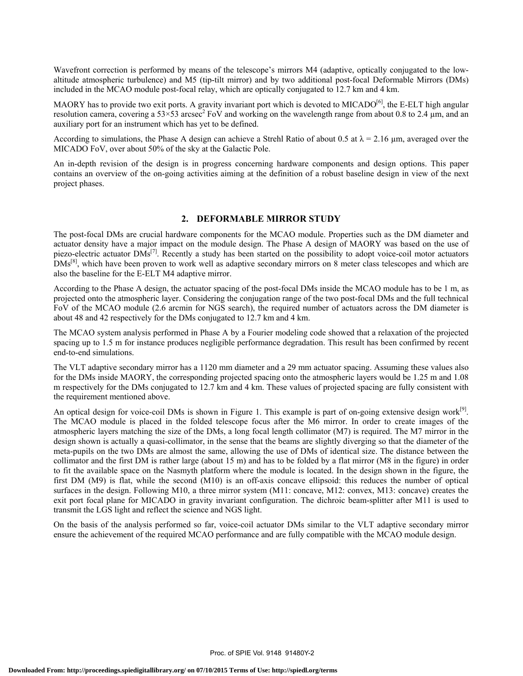Wavefront correction is performed by means of the telescope's mirrors M4 (adaptive, optically conjugated to the lowaltitude atmospheric turbulence) and M5 (tip-tilt mirror) and by two additional post-focal Deformable Mirrors (DMs) included in the MCAO module post-focal relay, which are optically conjugated to 12.7 km and 4 km.

MAORY has to provide two exit ports. A gravity invariant port which is devoted to MICADO<sup>[6]</sup>, the E-ELT high angular resolution camera, covering a  $53 \times 53$  arcsec<sup>2</sup> FoV and working on the wavelength range from about 0.8 to 2.4  $\mu$ m, and an auxiliary port for an instrument which has yet to be defined.

According to simulations, the Phase A design can achieve a Strehl Ratio of about 0.5 at  $\lambda = 2.16 \mu m$ , averaged over the MICADO FoV, over about 50% of the sky at the Galactic Pole.

An in-depth revision of the design is in progress concerning hardware components and design options. This paper contains an overview of the on-going activities aiming at the definition of a robust baseline design in view of the next project phases.

#### **2. DEFORMABLE MIRROR STUDY**

The post-focal DMs are crucial hardware components for the MCAO module. Properties such as the DM diameter and actuator density have a major impact on the module design. The Phase A design of MAORY was based on the use of piezo-electric actuator DMs<sup>[7]</sup>. Recently a study has been started on the possibility to adopt voice-coil motor actuators DMs<sup>[8]</sup>, which have been proven to work well as adaptive secondary mirrors on 8 meter class telescopes and which are also the baseline for the E-ELT M4 adaptive mirror.

According to the Phase A design, the actuator spacing of the post-focal DMs inside the MCAO module has to be 1 m, as projected onto the atmospheric layer. Considering the conjugation range of the two post-focal DMs and the full technical FoV of the MCAO module (2.6 arcmin for NGS search), the required number of actuators across the DM diameter is about 48 and 42 respectively for the DMs conjugated to 12.7 km and 4 km.

The MCAO system analysis performed in Phase A by a Fourier modeling code showed that a relaxation of the projected spacing up to 1.5 m for instance produces negligible performance degradation. This result has been confirmed by recent end-to-end simulations.

The VLT adaptive secondary mirror has a 1120 mm diameter and a 29 mm actuator spacing. Assuming these values also for the DMs inside MAORY, the corresponding projected spacing onto the atmospheric layers would be 1.25 m and 1.08 m respectively for the DMs conjugated to 12.7 km and 4 km. These values of projected spacing are fully consistent with the requirement mentioned above.

An optical design for voice-coil DMs is shown in Figure 1. This example is part of on-going extensive design work $\left| \right|$ . The MCAO module is placed in the folded telescope focus after the M6 mirror. In order to create images of the atmospheric layers matching the size of the DMs, a long focal length collimator (M7) is required. The M7 mirror in the design shown is actually a quasi-collimator, in the sense that the beams are slightly diverging so that the diameter of the meta-pupils on the two DMs are almost the same, allowing the use of DMs of identical size. The distance between the collimator and the first DM is rather large (about 15 m) and has to be folded by a flat mirror (M8 in the figure) in order to fit the available space on the Nasmyth platform where the module is located. In the design shown in the figure, the first DM (M9) is flat, while the second (M10) is an off-axis concave ellipsoid: this reduces the number of optical surfaces in the design. Following M10, a three mirror system (M11: concave, M12: convex, M13: concave) creates the exit port focal plane for MICADO in gravity invariant configuration. The dichroic beam-splitter after M11 is used to transmit the LGS light and reflect the science and NGS light.

On the basis of the analysis performed so far, voice-coil actuator DMs similar to the VLT adaptive secondary mirror ensure the achievement of the required MCAO performance and are fully compatible with the MCAO module design.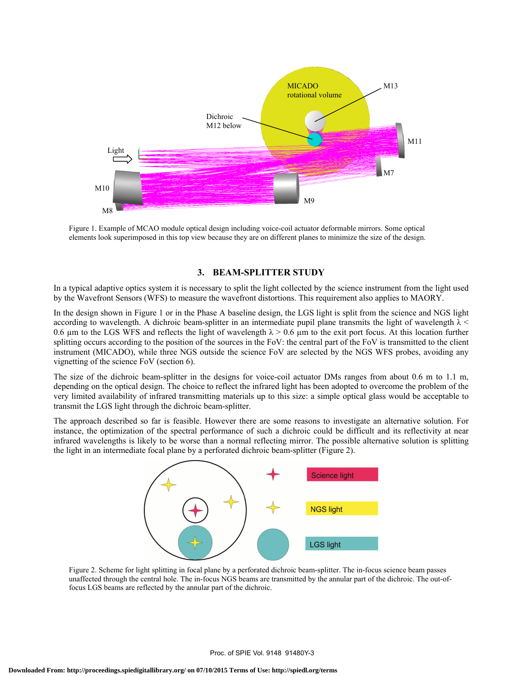

Figure 1. Example of MCAO module optical design including voice-coil actuator deformable mirrors. Some optical elements look superimposed in this top view because they are on different planes to minimize the size of the design.

### **3. BEAM-SPLITTER STUDY**

In a typical adaptive optics system it is necessary to split the light collected by the science instrument from the light used by the Wavefront Sensors (WFS) to measure the wavefront distortions. This requirement also applies to MAORY.

In the design shown in Figure 1 or in the Phase A baseline design, the LGS light is split from the science and NGS light according to wavelength. A dichroic beam-splitter in an intermediate pupil plane transmits the light of wavelength  $\lambda$  < 0.6 µm to the LGS WFS and reflects the light of wavelength  $\lambda > 0.6$  µm to the exit port focus. At this location further splitting occurs according to the position of the sources in the FoV: the central part of the FoV is transmitted to the client instrument (MICADO), while three NGS outside the science FoV are selected by the NGS WFS probes, avoiding any vignetting of the science FoV (section 6).

The size of the dichroic beam-splitter in the designs for voice-coil actuator DMs ranges from about 0.6 m to 1.1 m, depending on the optical design. The choice to reflect the infrared light has been adopted to overcome the problem of the very limited availability of infrared transmitting materials up to this size: a simple optical glass would be acceptable to transmit the LGS light through the dichroic beam-splitter.

The approach described so far is feasible. However there are some reasons to investigate an alternative solution. For instance, the optimization of the spectral performance of such a dichroic could be difficult and its reflectivity at near infrared wavelengths is likely to be worse than a normal reflecting mirror. The possible alternative solution is splitting the light in an intermediate focal plane by a perforated dichroic beam-splitter (Figure 2).



Figure 2. Scheme for light splitting in focal plane by a perforated dichroic beam-splitter. The in-focus science beam passes unaffected through the central hole. The in-focus NGS beams are transmitted by the annular part of the dichroic. The out-offocus LGS beams are reflected by the annular part of the dichroic.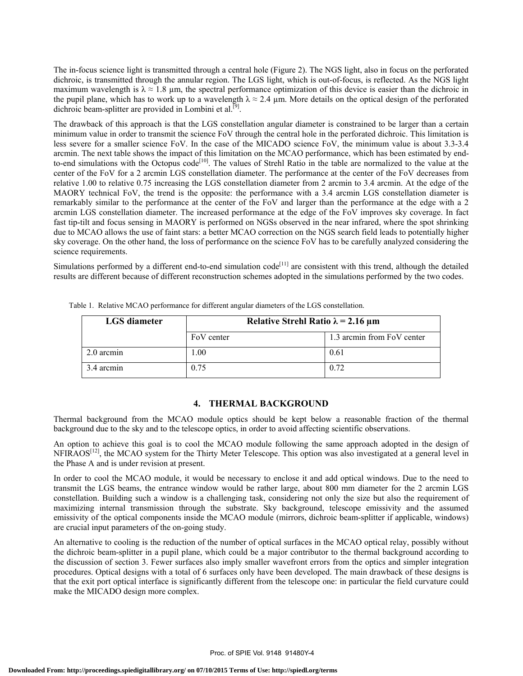The in-focus science light is transmitted through a central hole (Figure 2). The NGS light, also in focus on the perforated dichroic, is transmitted through the annular region. The LGS light, which is out-of-focus, is reflected. As the NGS light maximum wavelength is  $\lambda \approx 1.8$  µm, the spectral performance optimization of this device is easier than the dichroic in the pupil plane, which has to work up to a wavelength  $\lambda \approx 2.4$  µm. More details on the optical design of the perforated dichroic beam-splitter are provided in Lombini et al.<sup>[9]</sup>.

The drawback of this approach is that the LGS constellation angular diameter is constrained to be larger than a certain minimum value in order to transmit the science FoV through the central hole in the perforated dichroic. This limitation is less severe for a smaller science FoV. In the case of the MICADO science FoV, the minimum value is about 3.3-3.4 arcmin. The next table shows the impact of this limitation on the MCAO performance, which has been estimated by endto-end simulations with the Octopus code<sup>[10]</sup>. The values of Strehl Ratio in the table are normalized to the value at the center of the FoV for a 2 arcmin LGS constellation diameter. The performance at the center of the FoV decreases from relative 1.00 to relative 0.75 increasing the LGS constellation diameter from 2 arcmin to 3.4 arcmin. At the edge of the MAORY technical FoV, the trend is the opposite: the performance with a 3.4 arcmin LGS constellation diameter is remarkably similar to the performance at the center of the FoV and larger than the performance at the edge with a 2 arcmin LGS constellation diameter. The increased performance at the edge of the FoV improves sky coverage. In fact fast tip-tilt and focus sensing in MAORY is performed on NGSs observed in the near infrared, where the spot shrinking due to MCAO allows the use of faint stars: a better MCAO correction on the NGS search field leads to potentially higher sky coverage. On the other hand, the loss of performance on the science FoV has to be carefully analyzed considering the science requirements.

Simulations performed by a different end-to-end simulation  $code^{[11]}$  are consistent with this trend, although the detailed results are different because of different reconstruction schemes adopted in the simulations performed by the two codes.

| LGS diameter | Relative Strehl Ratio $\lambda$ = 2.16 µm |                            |
|--------------|-------------------------------------------|----------------------------|
|              | FoV center                                | 1.3 arcmin from FoV center |
| 2.0 arcmin   | 00.1                                      | 0.61                       |
| 3.4 arcmin   | 0.75                                      | 0.72                       |

Table 1. Relative MCAO performance for different angular diameters of the LGS constellation.

#### **4. THERMAL BACKGROUND**

Thermal background from the MCAO module optics should be kept below a reasonable fraction of the thermal background due to the sky and to the telescope optics, in order to avoid affecting scientific observations.

An option to achieve this goal is to cool the MCAO module following the same approach adopted in the design of  $NFIRAOS<sup>[12]</sup>$ , the MCAO system for the Thirty Meter Telescope. This option was also investigated at a general level in the Phase A and is under revision at present.

In order to cool the MCAO module, it would be necessary to enclose it and add optical windows. Due to the need to transmit the LGS beams, the entrance window would be rather large, about 800 mm diameter for the 2 arcmin LGS constellation. Building such a window is a challenging task, considering not only the size but also the requirement of maximizing internal transmission through the substrate. Sky background, telescope emissivity and the assumed emissivity of the optical components inside the MCAO module (mirrors, dichroic beam-splitter if applicable, windows) are crucial input parameters of the on-going study.

An alternative to cooling is the reduction of the number of optical surfaces in the MCAO optical relay, possibly without the dichroic beam-splitter in a pupil plane, which could be a major contributor to the thermal background according to the discussion of section 3. Fewer surfaces also imply smaller wavefront errors from the optics and simpler integration procedures. Optical designs with a total of 6 surfaces only have been developed. The main drawback of these designs is that the exit port optical interface is significantly different from the telescope one: in particular the field curvature could make the MICADO design more complex.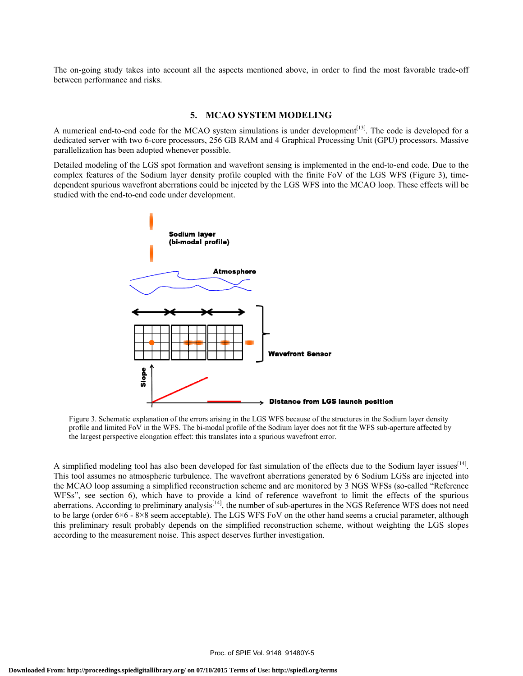The on-going study takes into account all the aspects mentioned above, in order to find the most favorable trade-off between performance and risks.

#### **5. MCAO SYSTEM MODELING**

A numerical end-to-end code for the MCAO system simulations is under development<sup>[13]</sup>. The code is developed for a dedicated server with two 6-core processors, 256 GB RAM and 4 Graphical Processing Unit (GPU) processors. Massive parallelization has been adopted whenever possible.

Detailed modeling of the LGS spot formation and wavefront sensing is implemented in the end-to-end code. Due to the complex features of the Sodium layer density profile coupled with the finite FoV of the LGS WFS (Figure 3), timedependent spurious wavefront aberrations could be injected by the LGS WFS into the MCAO loop. These effects will be studied with the end-to-end code under development.



Figure 3. Schematic explanation of the errors arising in the LGS WFS because of the structures in the Sodium layer density profile and limited FoV in the WFS. The bi-modal profile of the Sodium layer does not fit the WFS sub-aperture affected by the largest perspective elongation effect: this translates into a spurious wavefront error.

A simplified modeling tool has also been developed for fast simulation of the effects due to the Sodium layer issues<sup>[14]</sup>. This tool assumes no atmospheric turbulence. The wavefront aberrations generated by 6 Sodium LGSs are injected into the MCAO loop assuming a simplified reconstruction scheme and are monitored by 3 NGS WFSs (so-called "Reference WFSs", see section 6), which have to provide a kind of reference wavefront to limit the effects of the spurious aberrations. According to preliminary analysis<sup>[14]</sup>, the number of sub-apertures in the NGS Reference WFS does not need to be large (order 6×6 - 8×8 seem acceptable). The LGS WFS FoV on the other hand seems a crucial parameter, although this preliminary result probably depends on the simplified reconstruction scheme, without weighting the LGS slopes according to the measurement noise. This aspect deserves further investigation.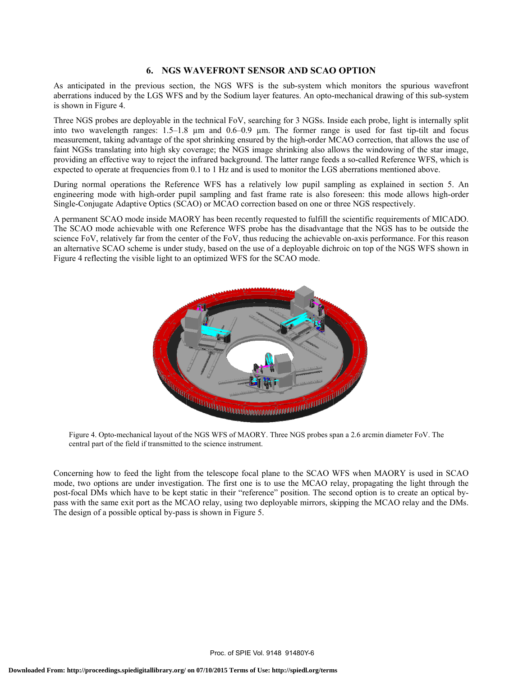## **6. NGS WAVEFRONT SENSOR AND SCAO OPTION**

As anticipated in the previous section, the NGS WFS is the sub-system which monitors the spurious wavefront aberrations induced by the LGS WFS and by the Sodium layer features. An opto-mechanical drawing of this sub-system is shown in Figure 4.

Three NGS probes are deployable in the technical FoV, searching for 3 NGSs. Inside each probe, light is internally split into two wavelength ranges: 1.5–1.8 µm and 0.6–0.9 µm. The former range is used for fast tip-tilt and focus measurement, taking advantage of the spot shrinking ensured by the high-order MCAO correction, that allows the use of faint NGSs translating into high sky coverage; the NGS image shrinking also allows the windowing of the star image, providing an effective way to reject the infrared background. The latter range feeds a so-called Reference WFS, which is expected to operate at frequencies from 0.1 to 1 Hz and is used to monitor the LGS aberrations mentioned above.

During normal operations the Reference WFS has a relatively low pupil sampling as explained in section 5. An engineering mode with high-order pupil sampling and fast frame rate is also foreseen: this mode allows high-order Single-Conjugate Adaptive Optics (SCAO) or MCAO correction based on one or three NGS respectively.

A permanent SCAO mode inside MAORY has been recently requested to fulfill the scientific requirements of MICADO. The SCAO mode achievable with one Reference WFS probe has the disadvantage that the NGS has to be outside the science FoV, relatively far from the center of the FoV, thus reducing the achievable on-axis performance. For this reason an alternative SCAO scheme is under study, based on the use of a deployable dichroic on top of the NGS WFS shown in Figure 4 reflecting the visible light to an optimized WFS for the SCAO mode.



Figure 4. Opto-mechanical layout of the NGS WFS of MAORY. Three NGS probes span a 2.6 arcmin diameter FoV. The central part of the field if transmitted to the science instrument.

Concerning how to feed the light from the telescope focal plane to the SCAO WFS when MAORY is used in SCAO mode, two options are under investigation. The first one is to use the MCAO relay, propagating the light through the post-focal DMs which have to be kept static in their "reference" position. The second option is to create an optical bypass with the same exit port as the MCAO relay, using two deployable mirrors, skipping the MCAO relay and the DMs. The design of a possible optical by-pass is shown in Figure 5.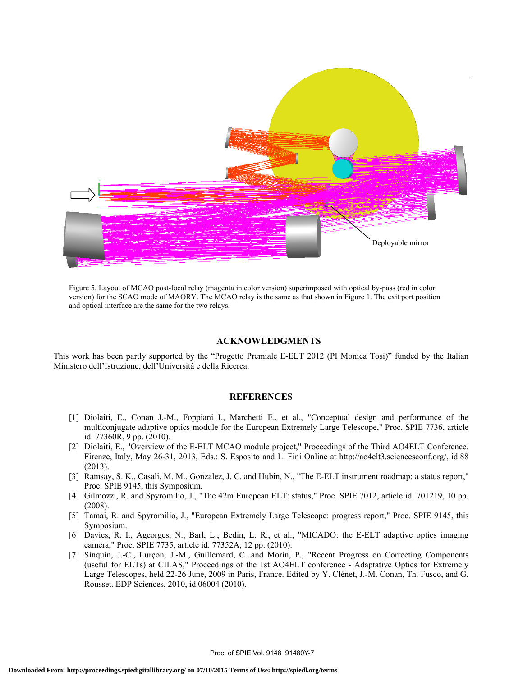

Figure 5. Layout of MCAO post-focal relay (magenta in color version) superimposed with optical by-pass (red in color version) for the SCAO mode of MAORY. The MCAO relay is the same as that shown in Figure 1. The exit port position and optical interface are the same for the two relays.

#### **ACKNOWLEDGMENTS**

This work has been partly supported by the "Progetto Premiale E-ELT 2012 (PI Monica Tosi)" funded by the Italian Ministero dell'Istruzione, dell'Università e della Ricerca.

#### **REFERENCES**

- [1] Diolaiti, E., Conan J.-M., Foppiani I., Marchetti E., et al., "Conceptual design and performance of the multiconjugate adaptive optics module for the European Extremely Large Telescope," Proc. SPIE 7736, article id. 77360R, 9 pp. (2010).
- [2] Diolaiti, E., "Overview of the E-ELT MCAO module project," Proceedings of the Third AO4ELT Conference. Firenze, Italy, May 26-31, 2013, Eds.: S. Esposito and L. Fini Online at http://ao4elt3.sciencesconf.org/, id.88 (2013).
- [3] Ramsay, S. K., Casali, M. M., Gonzalez, J. C. and Hubin, N., "The E-ELT instrument roadmap: a status report," Proc. SPIE 9145, this Symposium.
- [4] Gilmozzi, R. and Spyromilio, J., "The 42m European ELT: status," Proc. SPIE 7012, article id. 701219, 10 pp. (2008).
- [5] Tamai, R. and Spyromilio, J., "European Extremely Large Telescope: progress report," Proc. SPIE 9145, this Symposium.
- [6] Davies, R. I., Ageorges, N., Barl, L., Bedin, L. R., et al., "MICADO: the E-ELT adaptive optics imaging camera," Proc. SPIE 7735, article id. 77352A, 12 pp. (2010).
- [7] Sinquin, J.-C., Lurçon, J.-M., Guillemard, C. and Morin, P., "Recent Progress on Correcting Components (useful for ELTs) at CILAS," Proceedings of the 1st AO4ELT conference - Adaptative Optics for Extremely Large Telescopes, held 22-26 June, 2009 in Paris, France. Edited by Y. Clénet, J.-M. Conan, Th. Fusco, and G. Rousset. EDP Sciences, 2010, id.06004 (2010).